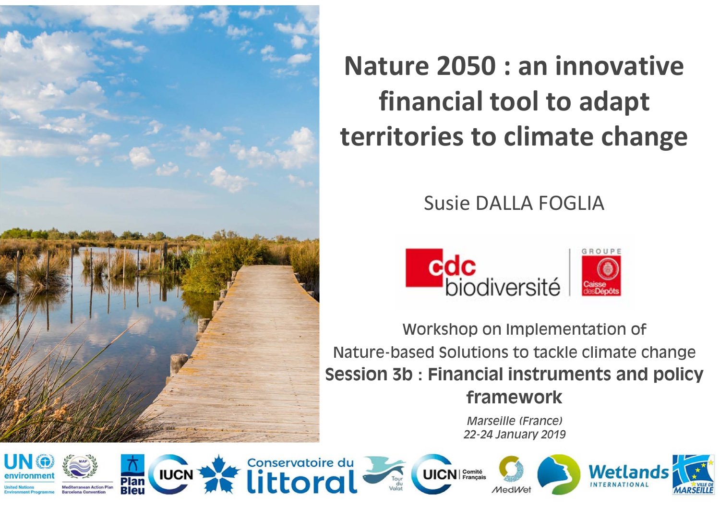

# **Nature 2050 : an innovative financial tool to adapt territories to climate change**

## Susie DALLA FOGLIA



Workshop on Implementation of Nature-based Solutions to tackle climate change **Session 3b : Financial instruments and policy framework** 

> *Marseille (France)22-24 January 2019*















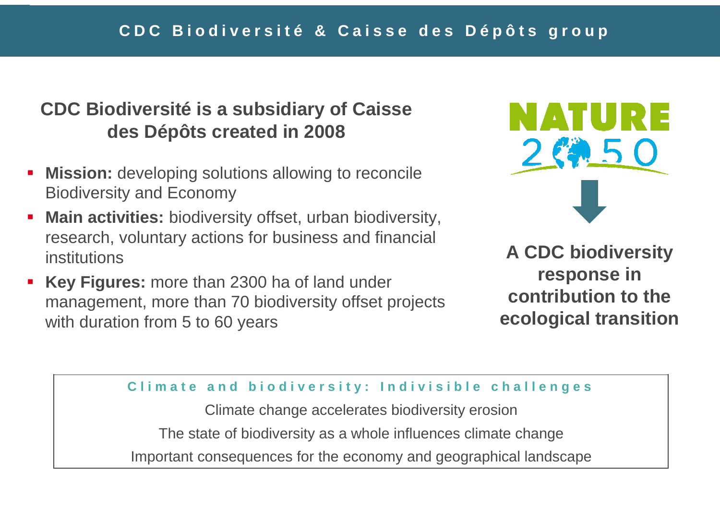### **CDC Biodiversité is a subsidiary of Caissedes Dépôts created in 2008**

- **Mission:** developing solutions allowing to reconcile Biodiversity and Economy
- a. **Main activities:** biodiversity offset, urban biodiversity, research, voluntary actions for business and financial institutions
- **Key Figures:** more than 2300 ha of land under management, more than 70 biodiversity offset projectswith duration from 5 to 60 years



**A CDC biodiversity response in contribution to the ecological transition**

#### Climate and biodiversity: Indivisible challenges

Climate change accelerates biodiversity erosion The state of biodiversity as a whole influences climate changeImportant consequences for the economy and geographical landscape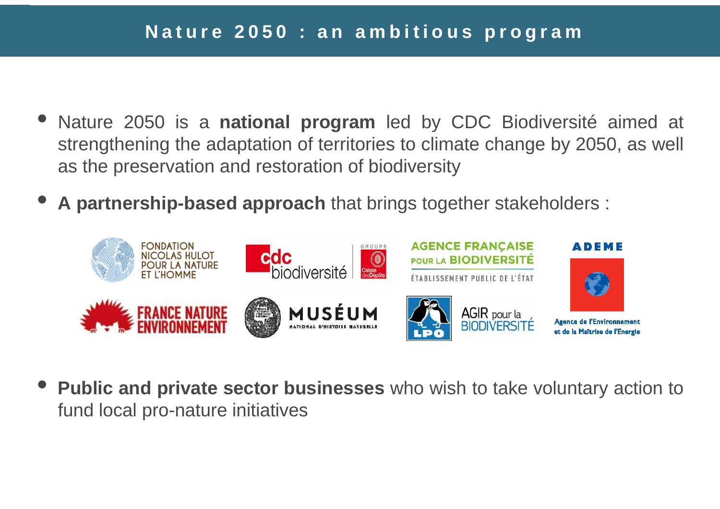- $\bullet$  Nature <sup>2050</sup> is <sup>a</sup> **national program** led by CDC Biodiversité aimed at strengthening the adaptation of territories to climate change by 2050, as well as the preservation and restoration of biodiversity
- $\bullet$ **<sup>A</sup> partnership-based approach**that brings together stakeholders :



 $\bullet$ **Public and private sector businesses** who wish to take voluntary action to fund local pro-nature initiatives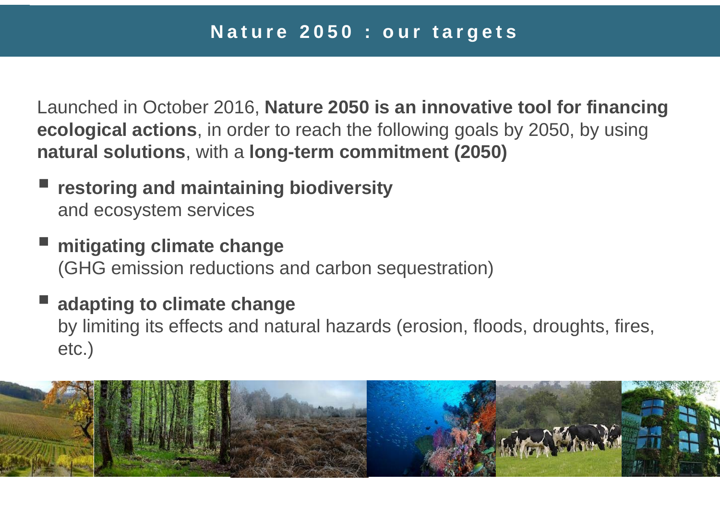Launched in October 2016, **Nature 2050 is an innovative tool for financing ecological actions**, in order to reach the following goals by 2050, by using **natural solutions**, with a **long-term commitment (2050)**

- **restoring and maintaining biodiversity** and ecosystem services
- **mitigating climate change**  (GHG emission reductions and carbon sequestration)
- **adapting to climate change** by limiting its effects and natural hazards (erosion, floods, droughts, fires, etc.)

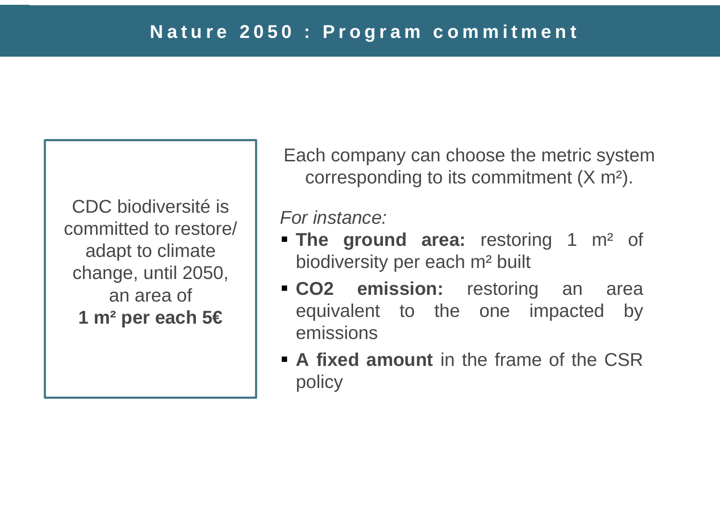CDC biodiversité is committed to restore/ adapt to climate change, until 2050, an area of**1 m² per each 5€**

Each company can choose the metric system corresponding to its commitment (X m²).

For instance:

- **Fig. 3** The ground area: restoring 1 m<sup>2</sup> of biodiversity per each <sup>m</sup><sup>²</sup> built
- **CO2 emission:** restoring an area equivalent to the one impacted byemissions
- **<sup>A</sup> fixed amount** in the frame of the CSRpolicy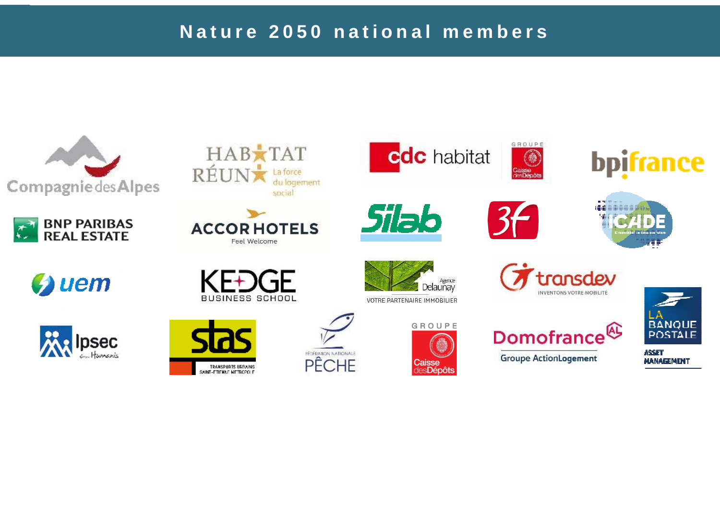#### Nature 2050 national members

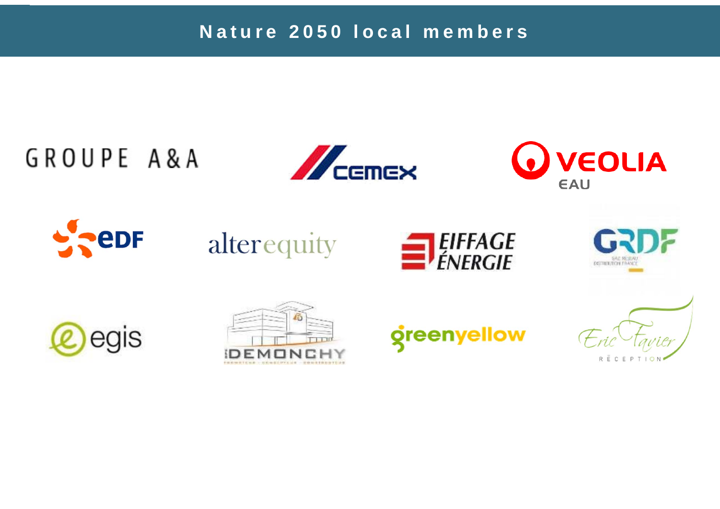Nature 2050 local members

# GROUPE A&A



















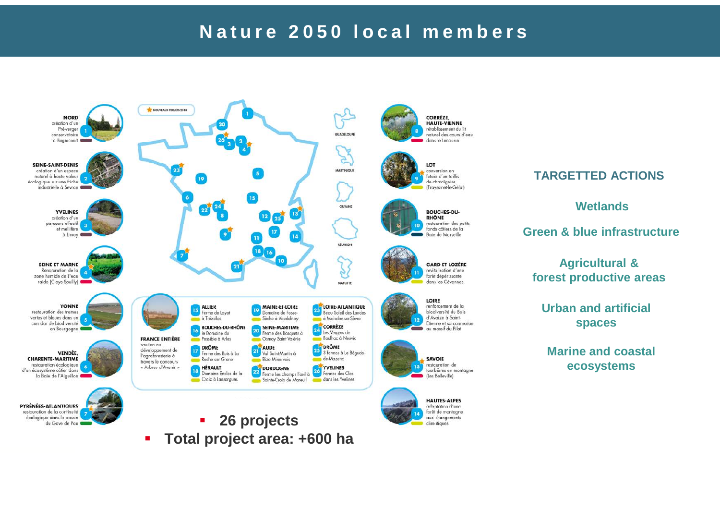# Nature 2050 local members

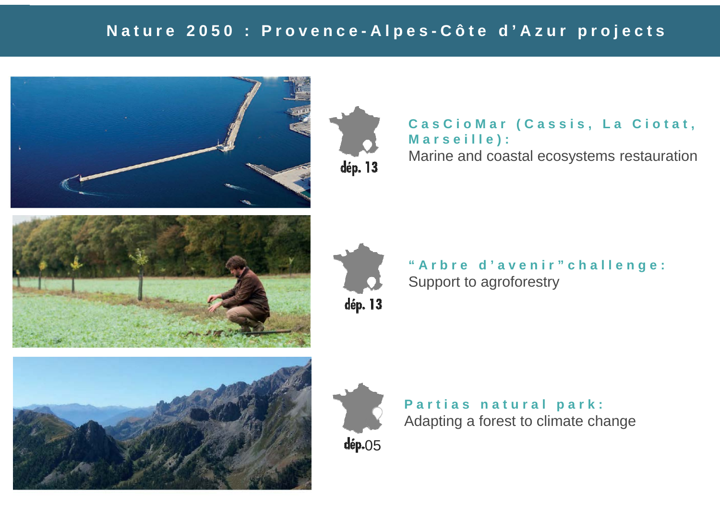## Nature 2050 : Provence-Alpes-Côte d'Azur projects





CasCioMar (Cassis, La Ciotat, **M <sup>a</sup> <sup>r</sup> <sup>s</sup> <sup>e</sup> i l l <sup>e</sup> ) :**

Marine and coastal ecosystems restauration







"Arbre d'avenir"challenge: Support to agroforestry



Partias natural park: Adapting a forest to climate change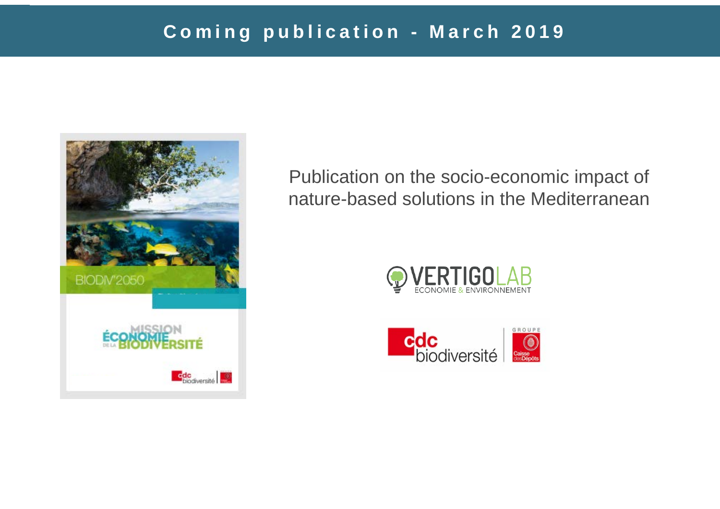# Coming publication - March 2019



Publication on the socio-economic impact of nature-based solutions in the Mediterranean